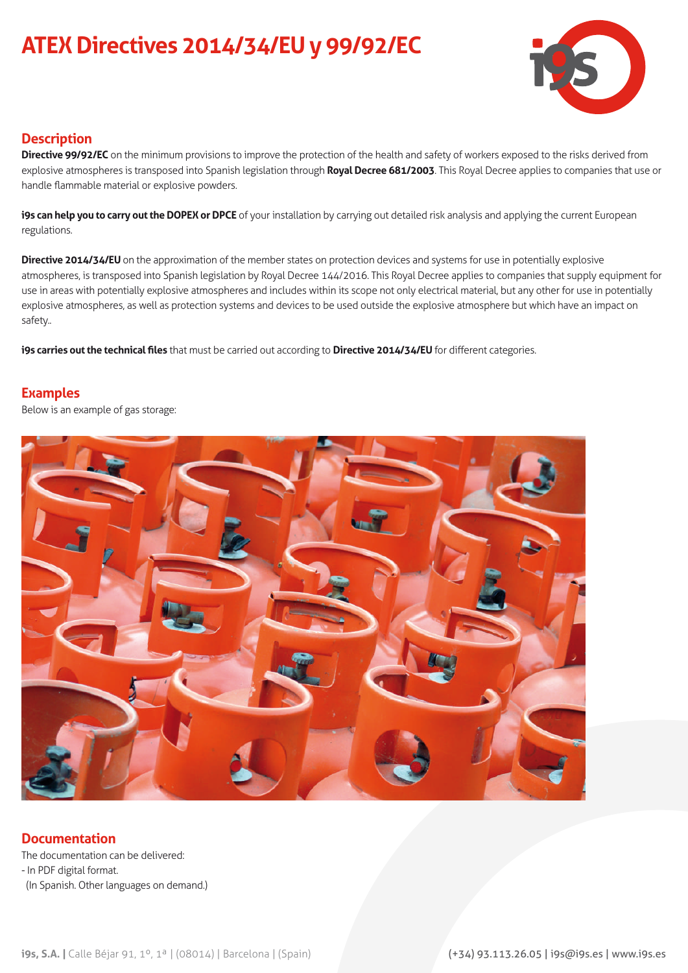# **ATEX Directives 2014/34/EU y 99/92/EC**



### **Description**

**Directive 99/92/EC** on the minimum provisions to improve the protection of the health and safety of workers exposed to the risks derived from explosive atmospheres is transposed into Spanish legislation through **Royal Decree 681/2003**. This Royal Decree applies to companies that use or handle flammable material or explosive powders.

**i9s can help you to carry out the DOPEX or DPCE** of your installation by carrying out detailed risk analysis and applying the current European regulations.

**Directive 2014/34/EU** on the approximation of the member states on protection devices and systems for use in potentially explosive atmospheres, is transposed into Spanish legislation by Royal Decree 144/2016. This Royal Decree applies to companies that supply equipment for use in areas with potentially explosive atmospheres and includes within its scope not only electrical material, but any other for use in potentially explosive atmospheres, as well as protection systems and devices to be used outside the explosive atmosphere but which have an impact on safety..

**i9s carries out the technical files** that must be carried out according to **Directive 2014/34/EU** for different categories.

#### **Examples**

Below is an example of gas storage:



#### **Documentation**

The documentation can be delivered: - In PDF digital format. (In Spanish. Other languages on demand.)